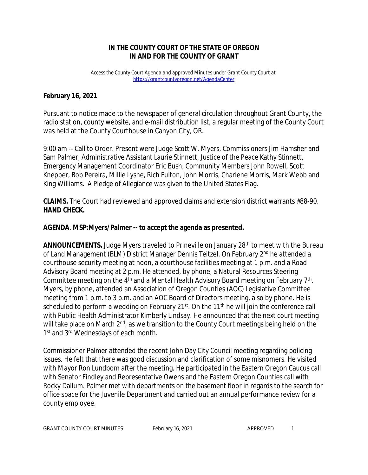### **IN THE COUNTY COURT OF THE STATE OF OREGON IN AND FOR THE COUNTY OF GRANT**

*Access the County Court Agenda and approved Minutes under Grant County Court at <https://grantcountyoregon.net/AgendaCenter>*

### **February 16, 2021**

Pursuant to notice made to the newspaper of general circulation throughout Grant County, the radio station, county website, and e-mail distribution list, a regular meeting of the County Court was held at the County Courthouse in Canyon City, OR.

9:00 am -- Call to Order. Present were Judge Scott W. Myers, Commissioners Jim Hamsher and Sam Palmer, Administrative Assistant Laurie Stinnett, Justice of the Peace Kathy Stinnett, Emergency Management Coordinator Eric Bush, Community Members John Rowell, Scott Knepper, Bob Pereira, Millie Lysne, Rich Fulton, John Morris, Charlene Morris, Mark Webb and King Williams. A Pledge of Allegiance was given to the United States Flag.

**CLAIMS.** The Court had reviewed and approved claims and extension district warrants #88-90. **HAND CHECK.**

### **AGENDA**. **MSP:Myers/Palmer -- to accept the agenda as presented.**

**ANNOUNCEMENTS.** Judge Myers traveled to Prineville on January 28<sup>th</sup> to meet with the Bureau of Land Management (BLM) District Manager Dennis Teitzel. On February 2<sup>nd</sup> he attended a courthouse security meeting at noon, a courthouse facilities meeting at 1 p.m. and a Road Advisory Board meeting at 2 p.m. He attended, by phone, a Natural Resources Steering Committee meeting on the 4<sup>th</sup> and a Mental Health Advisory Board meeting on February 7<sup>th</sup>. Myers, by phone, attended an Association of Oregon Counties (AOC) Legislative Committee meeting from 1 p.m. to 3 p.m. and an AOC Board of Directors meeting, also by phone. He is scheduled to perform a wedding on February 21 $st$ . On the 11<sup>th</sup> he will join the conference call with Public Health Administrator Kimberly Lindsay. He announced that the next court meeting will take place on March 2<sup>nd</sup>, as we transition to the County Court meetings being held on the 1<sup>st</sup> and 3<sup>rd</sup> Wednesdays of each month.

Commissioner Palmer attended the recent John Day City Council meeting regarding policing issues. He felt that there was good discussion and clarification of some misnomers. He visited with Mayor Ron Lundbom after the meeting. He participated in the Eastern Oregon Caucus call with Senator Findley and Representative Owens and the Eastern Oregon Counties call with Rocky Dallum. Palmer met with departments on the basement floor in regards to the search for office space for the Juvenile Department and carried out an annual performance review for a county employee.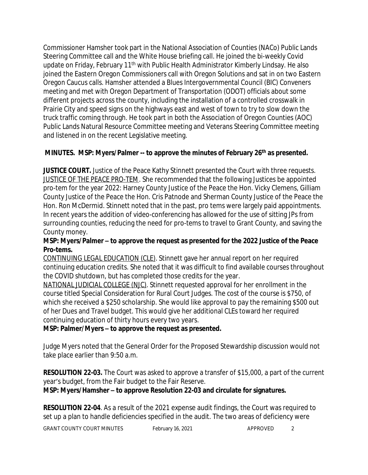Commissioner Hamsher took part in the National Association of Counties (NACo) Public Lands Steering Committee call and the White House briefing call. He joined the bi-weekly Covid update on Friday, February 11<sup>th</sup> with Public Health Administrator Kimberly Lindsay. He also joined the Eastern Oregon Commissioners call with Oregon Solutions and sat in on two Eastern Oregon Caucus calls. Hamsher attended a Blues Intergovernmental Council (BIC) Conveners meeting and met with Oregon Department of Transportation (ODOT) officials about some different projects across the county, including the installation of a controlled crosswalk in Prairie City and speed signs on the highways east and west of town to try to slow down the truck traffic coming through. He took part in both the Association of Oregon Counties (AOC) Public Lands Natural Resource Committee meeting and Veterans Steering Committee meeting and listened in on the recent Legislative meeting.

# **MINUTES. MSP: Myers/Palmer -- to approve the minutes of February 26th as presented.**

**JUSTICE COURT.** Justice of the Peace Kathy Stinnett presented the Court with three requests. JUSTICE OF THE PEACE PRO-TEM. She recommended that the following Justices be appointed pro-tem for the year 2022: Harney County Justice of the Peace the Hon. Vicky Clemens, Gilliam County Justice of the Peace the Hon. Cris Patnode and Sherman County Justice of the Peace the Hon. Ron McDermid. Stinnett noted that in the past, pro tems were largely paid appointments. In recent years the addition of video-conferencing has allowed for the use of sitting JPs from surrounding counties, reducing the need for pro-tems to travel to Grant County, and saving the County money.

### **MSP: Myers/Palmer – to approve the request as presented for the 2022 Justice of the Peace Pro-tems.**

CONTINUING LEGAL EDUCATION (CLE). Stinnett gave her annual report on her required continuing education credits. She noted that it was difficult to find available courses throughout the COVID shutdown, but has completed those credits for the year.

NATIONAL JUDICIAL COLLEGE (NJC). Stinnett requested approval for her enrollment in the course titled Special Consideration for Rural Court Judges. The cost of the course is \$750, of which she received a \$250 scholarship. She would like approval to pay the remaining \$500 out of her Dues and Travel budget. This would give her additional CLEs toward her required continuing education of thirty hours every two years.

# **MSP: Palmer/Myers – to approve the request as presented.**

Judge Myers noted that the General Order for the Proposed Stewardship discussion would not take place earlier than 9:50 a.m.

**RESOLUTION 22-03.** The Court was asked to approve a transfer of \$15,000, a part of the current year's budget, from the Fair budget to the Fair Reserve.

### **MSP: Myers/Hamsher – to approve Resolution 22-03 and circulate for signatures.**

**RESOLUTION 22-04**. As a result of the 2021 expense audit findings, the Court was required to set up a plan to handle deficiencies specified in the audit. The two areas of deficiency were

GRANT COUNTY COURT MINUTES February 16, 2021 **APPROVED** 2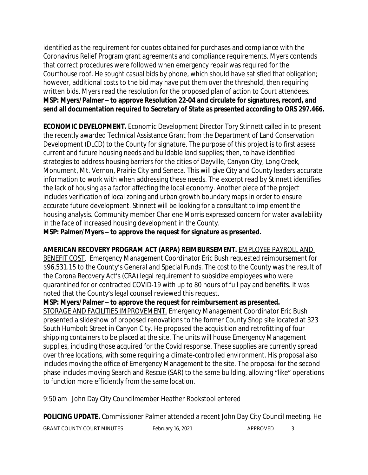identified as the requirement for quotes obtained for purchases and compliance with the Coronavirus Relief Program grant agreements and compliance requirements. Myers contends that correct procedures were followed when emergency repair was required for the Courthouse roof. He sought casual bids by phone, which should have satisfied that obligation; however, additional costs to the bid may have put them over the threshold, then requiring written bids. Myers read the resolution for the proposed plan of action to Court attendees. **MSP: Myers/Palmer – to approve Resolution 22-04 and circulate for signatures, record, and send all documentation required to Secretary of State as presented according to ORS 297.466.**

**ECONOMIC DEVELOPMENT.** Economic Development Director Tory Stinnett called in to present the recently awarded Technical Assistance Grant from the Department of Land Conservation Development (DLCD) to the County for signature. The purpose of this project is to first assess current and future housing needs and buildable land supplies; then, to have identified strategies to address housing barriers for the cities of Dayville, Canyon City, Long Creek, Monument, Mt. Vernon, Prairie City and Seneca. This will give City and County leaders accurate information to work with when addressing these needs. The excerpt read by Stinnett identifies the lack of housing as a factor affecting the local economy. Another piece of the project includes verification of local zoning and urban growth boundary maps in order to ensure accurate future development. Stinnett will be looking for a consultant to implement the housing analysis. Community member Charlene Morris expressed concern for water availability in the face of increased housing development in the County.

**MSP: Palmer/Myers – to approve the request for signature as presented.**

### **AMERICAN RECOVERY PROGRAM ACT (ARPA) REIMBURSEMENT.** EMPLOYEE PAYROLL AND

BENEFIT COST.Emergency Management Coordinator Eric Bush requested reimbursement for \$96,531.15 to the County's General and Special Funds. The cost to the County was the result of the Corona Recovery Act's (CRA) legal requirement to subsidize employees who were quarantined for or contracted COVID-19 with up to 80 hours of full pay and benefits. It was noted that the County's legal counsel reviewed this request.

**MSP: Myers/Palmer – to approve the request for reimbursement as presented.**

STORAGE AND FACILITIES IMPROVEMENT. Emergency Management Coordinator Eric Bush presented a slideshow of proposed renovations to the former County Shop site located at 323 South Humbolt Street in Canyon City. He proposed the acquisition and retrofitting of four shipping containers to be placed at the site. The units will house Emergency Management supplies, including those acquired for the Covid response. These supplies are currently spread over three locations, with some requiring a climate-controlled environment. His proposal also includes moving the office of Emergency Management to the site. The proposal for the second phase includes moving Search and Rescue (SAR) to the same building, allowing "like" operations to function more efficiently from the same location.

9:50 am John Day City Councilmember Heather Rookstool entered

**POLICING UPDATE.** Commissioner Palmer attended a recent John Day City Council meeting. He

GRANT COUNTY COURT MINUTES February 16, 2021 February 16, 2021